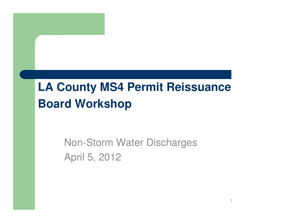### **LA County MS4 Permit ReissuanceBoard Workshop**

#### Non-Storm Water DischargesApril 5, 2012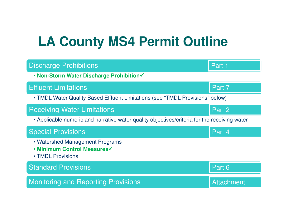# **LA County MS4 Permit Outline**

| <b>Discharge Prohibitions</b>                                                                | Part 1            |
|----------------------------------------------------------------------------------------------|-------------------|
| . Non-Storm Water Discharge Prohibition√                                                     |                   |
| <b>Effluent Limitations</b>                                                                  | Part 7            |
| • TMDL Water Quality Based Effluent Limitations (see "TMDL Provisions" below)                |                   |
| <b>Receiving Water Limitations</b>                                                           | Part 2            |
| • Applicable numeric and narrative water quality objectives/criteria for the receiving water |                   |
| <b>Special Provisions</b>                                                                    | Part 4            |
| • Watershed Management Programs<br>• Minimum Control Measures√<br>• TMDL Provisions          |                   |
| <b>Standard Provisions</b>                                                                   | Part 6            |
| <b>Monitoring and Reporting Provisions</b>                                                   | <b>Attachment</b> |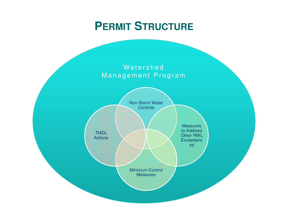# **PERMIT <sup>S</sup>TRUCTURE**

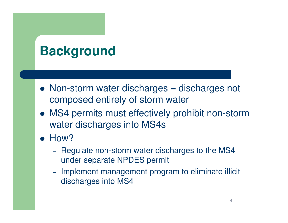# **Background**

- Non-storm water discharges = discharges not composed entirely of storm water
- MS4 permits must effectively prohibit non-storm water discharges into MS4s
- $\bullet$  How?
	- – Regulate non-storm water discharges to the MS4 under separate NPDES permit
	- – Implement management program to eliminate illicit discharges into MS4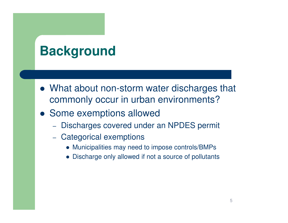# **Background**

- What about non-storm water discharges that commonly occur in urban environments?
- Some exemptions allowed
	- Discharges covered under an NPDES permit
	- Categorical exemptions
		- Municipalities may need to impose controls/BMPs
		- Discharge only allowed if not a source of pollutants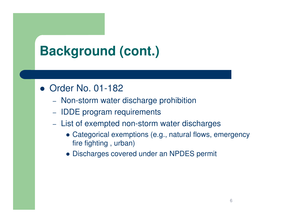# **Background (cont.)**

#### • Order No. 01-182

- Non-storm water discharge prohibition
- IDDE program requirements
- List of exempted non-storm water discharges
	- Categorical exemptions (e.g., natural flows, emergency fire fighting , urban)
	- Discharges covered under an NPDES permit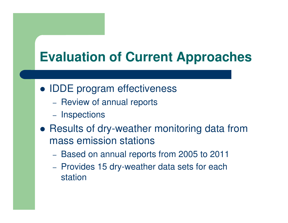### **Evaluation of Current Approaches**

- IDDE program effectiveness
	- Review of annual reports
	- Inspections
- Results of dry-weather monitoring data from mass emission stations
	- Based on annual reports from 2005 to 2011
	- Provides 15 dry-weather data sets for each station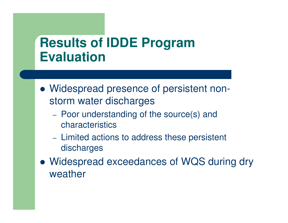#### **Results of IDDE Program Evaluation**

- Widespread presence of persistent nonstorm water discharges
	- Poor understanding of the source(s) and characteristics
	- Limited actions to address these persistent discharges
- Widespread exceedances of WQS during dry weather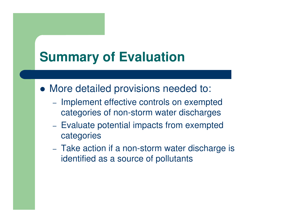### **Summary of Evaluation**

- More detailed provisions needed to:
	- Implement effective controls on exempted categories of non-storm water discharges
	- Evaluate potential impacts from exempted categories
	- Take action if a non-storm water discharge is identified as a source of pollutants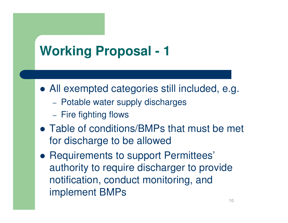# **Working Proposal - 1**

- All exempted categories still included, e.g.
	- Potable water supply discharges
	- $-$  Fire fighting flows
- Table of conditions/BMPs that must be met for discharge to be allowed
- Requirements to support Permittees' authority to require discharger to provide notification, conduct monitoring, and implement BMPs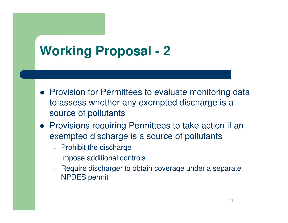# **Working Proposal - 2**

- Provision for Permittees to evaluate monitoring data to assess whether any exempted discharge is a source of pollutants
- Provisions requiring Permittees to take action if an exempted discharge is a source of pollutants
	- –- Prohibit the discharge
	- –Impose additional controls
	- Require discharger to obtain coverage under a separate NPDES permit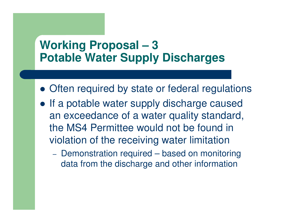#### **Working Proposal – 3Potable Water Supply Discharges**

- Often required by state or federal regulations
- If a potable water supply discharge caused an exceedance of a water quality standard, the MS4 Permittee would not be found in violation of the receiving water limitation
	- Demonstration required based on monitoring data from the discharge and other information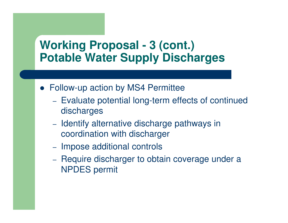#### **Working Proposal - 3 (cont.)Potable Water Supply Discharges**

- Follow-up action by MS4 Permittee
	- Evaluate potential long-term effects of continued discharges
	- Identify alternative discharge pathways in coordination with discharger
	- Impose additional controls
	- Require discharger to obtain coverage under a NPDES permit